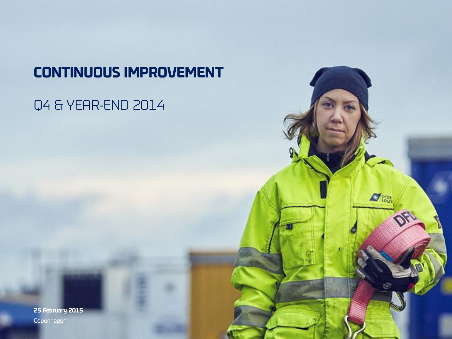# **CONTINUOUS IMPROVEMENT**

 $\sum$  prps

# Q4 & YEAR-END 2014

**25 February 2015** Copenhagen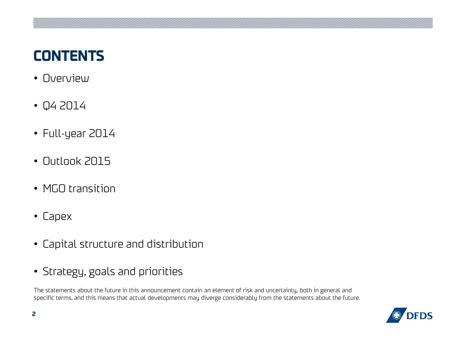# **CONTENTS**

- Overview
- Q4 2014
- Full-year 2014
- Outlook 2015
- MGO transition
- Capex
- Capital structure and distribution
- Strategy, goals and priorities

The statements about the future in this announcement contain an element of risk and uncertainty, both in general and specific terms, and this means that actual developments may diverge considerably from the statements about the future.

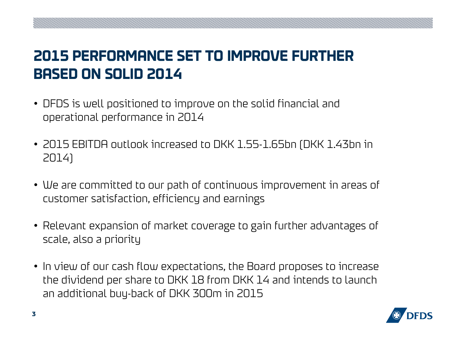# **2015 PERFORMANCE SET TO IMPROVE FURTHER BASED ON SOLID 2014**

- DFDS is well positioned to improve on the solid financial and operational performance in 2014
- 2015 EBITDA outlook increased to DKK 1.55-1.65bn (DKK 1.43bn in 2014)
- We are committed to our path of continuous improvement in areas of customer satisfaction, efficiency and earnings
- Relevant expansion of market coverage to gain further advantages of scale, also a priority
- In view of our cash flow expectations, the Board proposes to increase the dividend per share to DKK 18 from DKK 14 and intends to launch an additional buy-back of DKK 300m in 2015

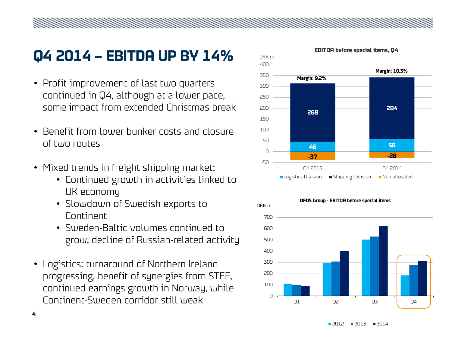# **Q4 2014 – EBITDA UP BY 14%**

- Profit improvement of last two quarters continued in Q4, although at a lower pace, some impact from extended Christmas break
- Benefit from lower bunker costs and closure of two routes
- Mixed trends in freight shipping market:
	- Continued growth in activities linked to UK economy
	- Slowdown of Swedish exports to Continent
	- Sweden-Baltic volumes continued to grow, decline of Russian-related activity
- Logistics: turnaround of Northern Ireland progressing, benefit of synergies from STEF, continued earnings growth in Norway, while Continent-Sweden corridor still weak





**EBITDA before special items, Q4**

2012 2013 2014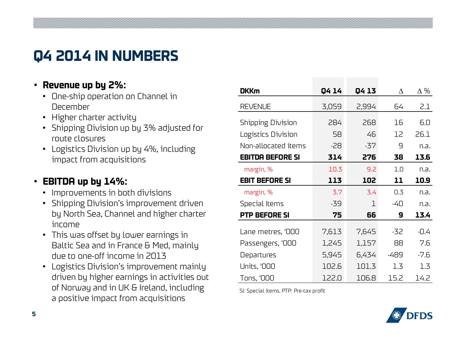# **Q4 2014 IN NUMBERS**

#### • **Revenue up by 2%:**

- One-ship operation on Channel in December
- Higher charter activity
- Shipping Division up by 3% adjusted for route closures
- Logistics Division up by 4%, including impact from acquisitions

#### • **EBITDA up by 14%:**

- Improvements in both divisions
- Shipping Division's improvement driven by North Sea, Channel and higher charter income
- This was offset by lower earnings in Baltic Sea and in France & Med, mainly due to one-off income in 2013
- Logistics Division's improvement mainly driven by higher earnings in activities out of Norway and in UK & Ireland, including

| :venue up by 2%:                                                                | <b>DKKm</b>                            | Q4 14 | Q4 13 | Δ    | $\Delta\%$ |
|---------------------------------------------------------------------------------|----------------------------------------|-------|-------|------|------------|
| One-ship operation on Channel in                                                |                                        |       |       |      |            |
| December                                                                        | <b>REVENUE</b>                         | 3,059 | 2,994 | 64   | 2.1        |
| Higher charter activity                                                         | <b>Shipping Division</b>               | 284   | 268   | 16   | 6.0        |
| Shipping Division up by 3% adjusted for<br>route closures                       | Logistics Division                     | 58    | 46    | 12   | 26.1       |
| Logistics Division up by 4%, including                                          | Non-allocated items                    | $-28$ | $-37$ | 9    | n.a.       |
| impact from acquisitions                                                        | <b>EBITDA BEFORE SI</b>                | 314   | 276   | 38   | 13.6       |
|                                                                                 | margin, %                              | 10.3  | 9.2   | 1.0  | n.a.       |
| 3ITDA up by 14%:                                                                | <b>EBIT BEFORE SI</b>                  | 113   | 102   | 11   | 10.9       |
| Improvements in both divisions                                                  | margin, %                              | 3.7   | 3.4   | 0.3  | n.a.       |
| Shipping Division's improvement driven                                          | Special Items                          | -39   | 1     | -40  | n.a.       |
| by North Sea, Channel and higher charter                                        | <b>PTP BEFORE SI</b>                   | 75    | 66    | 9    | 13.4       |
| income                                                                          | Lane metres, '000                      | 7,613 | 7,645 | -32  | $-0.4$     |
| This was offset by lower earnings in                                            |                                        |       |       |      |            |
| Baltic Sea and in France & Med, mainly                                          | Passengers, '000                       | 1,245 | 1,157 | 88   | 7.6        |
| due to one-off income in 2013                                                   | Departures                             | 5,945 | 6,434 | -489 | $-7.6$     |
| Logistics Division's improvement mainly                                         | <b>Units, '000</b>                     | 102.6 | 101.3 | 1.3  | 1.3        |
| driven by higher earnings in activities out                                     | Tons, '000                             | 122.0 | 106.8 | 15.2 | 14.2       |
| of Norway and in UK & Ireland, including<br>a positive impact from acquisitions | SI: Special items. PTP: Pre-tax profit |       |       |      |            |

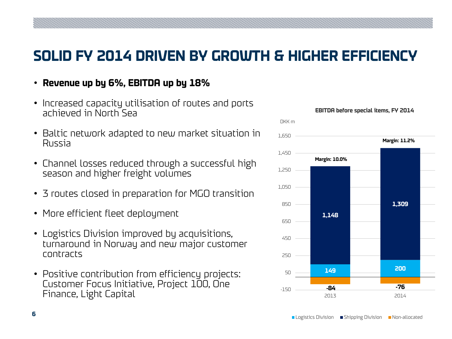### **SOLID FY 2014 DRIVEN BY GROWTH & HIGHER EFFICIENCY**

- **Revenue up by 6%, EBITDA up by 18%**
- Increased capacity utilisation of routes and ports achieved in North Sea
- Baltic network adapted to new market situation in Russia
- Channel losses reduced through a successful high season and higher freight volumes
- 3 routes closed in preparation for MGO transition
- More efficient fleet deployment
- Logistics Division improved by acquisitions, turnaround in Norway and new major customer contracts
- Positive contribution from efficiency projects: Customer Focus Initiative, Project 100, One Finance, Light Capital

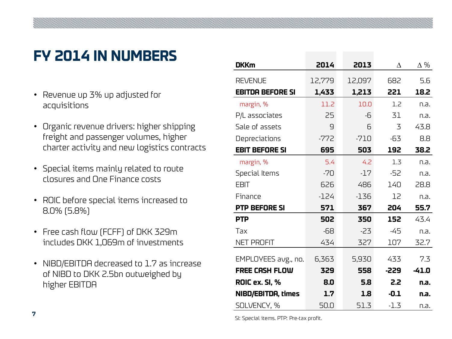# **FY 2014 IN NUMBERS**

- Revenue up 3% up adjusted for acquisitions
- Organic revenue drivers: higher shipping freight and passenger volumes, higher charter activity and new logistics contracts
- Special items mainly related to route closures and One Finance costs
- ROIC before special items increased to 8.0% (5.8%)
- Free cash flow (FCFF) of DKK 329m includes DKK 1,069m of investments
- NIBD/EBITDA decreased to 1.7 as increase of NIBD to DKK 2.5bn outweighed by higher EBITDA

| <b>DKKm</b>             | 2014   | 2013   | Δ      | $\Delta\%$ |
|-------------------------|--------|--------|--------|------------|
| <b>REVENUE</b>          | 12,779 | 12,097 | 682    | 5.6        |
| <b>EBITDA BEFORE SI</b> | 1,433  | 1,213  | 221    | 18.2       |
| margin, %               | 11.2   | 10.0   | 1.2    | n.a.       |
| P/L associates          | 25     | -6     | 31     | n.a.       |
| Sale of assets          | 9      | 6      | 3      | 43.8       |
| Depreciations           | $-772$ | $-710$ | -63    | 8.8        |
| <b>EBIT BEFORE SI</b>   | 695    | 503    | 192    | 38.2       |
| margin, %               | 5.4    | 4.2    | 1.3    | n.a.       |
| Special Items           | $-70$  | $-17$  | $-52$  | n.a.       |
| <b>EBIT</b>             | 626    | 486    | 140    | 28.8       |
| Finance                 | $-124$ | $-136$ | 12     | n.a.       |
| <b>PTP BEFORE SI</b>    | 571    | 367    | 204    | 55.7       |
| <b>PTP</b>              | 502    | 350    | 152    | 43.4       |
| Tax                     | -68    | $-23$  | -45    | n.a.       |
| <b>NET PROFIT</b>       | 434    | 327    | 107    | 32.7       |
| EMPLOYEES avg., no.     | 6,363  | 5,930  | 433    | 7.3        |
| <b>FREE CASH FLOW</b>   | 329    | 558    | -229   | $-41.0$    |
| <b>ROIC ex. SI, %</b>   | 8.0    | 5.8    | 2.2    | n.a.       |
| NIBD/EBITDA, times      | 1.7    | 1.8    | $-0.1$ | n.a.       |
| SOLVENCY, %             | 50.0   | 51.3   | $-1.3$ | n.a.       |

SI: Special items. PTP: Pre-tax profit.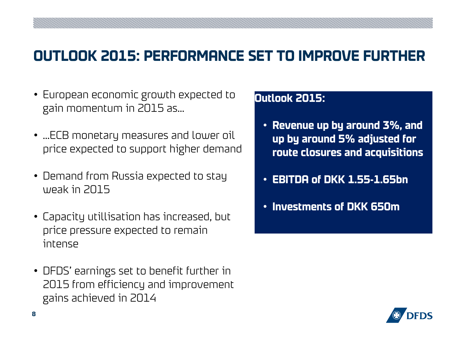### **OUTLOOK 2015: PERFORMANCE SET TO IMPROVE FURTHER**

- European economic growth expected to gain momentum in 2015 as…
- …ECB monetary measures and lower oil price expected to support higher demand
- Demand from Russia expected to stay weak in 2015
- Capacity utillisation has increased, but price pressure expected to remain intense
- DFDS' earnings set to benefit further in 2015 from efficiency and improvement gains achieved in 2014

#### **Outlook 2015:**

- **Revenue up by around 3%, and up by around 5% adjusted for route closures and acquisitions**
- **EBITDA of DKK 1.55-1.65bn**
- **Investments of DKK 650m**

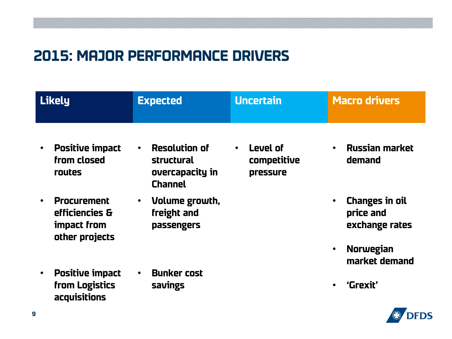### **2015: MAJOR PERFORMANCE DRIVERS**

|           | <b>Likely</b>                                                         | <b>Expected</b>                                                                      | <b>Uncertain</b>                                 | <b>Macro drivers</b>                                                                  |  |
|-----------|-----------------------------------------------------------------------|--------------------------------------------------------------------------------------|--------------------------------------------------|---------------------------------------------------------------------------------------|--|
| $\bullet$ | <b>Positive impact</b><br>from closed<br>routes                       | <b>Resolution of</b><br>$\bullet$<br>structural<br>overcapacity in<br><b>Channel</b> | Level of<br>$\bullet$<br>competitive<br>pressure | <b>Russian market</b><br>demand                                                       |  |
| $\bullet$ | <b>Procurement</b><br>efficiencies &<br>impact from<br>other projects | Volume growth,<br>$\bullet$<br>freight and<br>passengers                             |                                                  | <b>Changes in oil</b><br>$\bullet$<br>price and<br>exchange rates<br><b>Norwegian</b> |  |
|           |                                                                       |                                                                                      |                                                  | market demand                                                                         |  |
| $\bullet$ | <b>Positive impact</b><br>from Logistics<br>acquisitions              | <b>Bunker cost</b><br>savings                                                        |                                                  | 'Grexit'                                                                              |  |

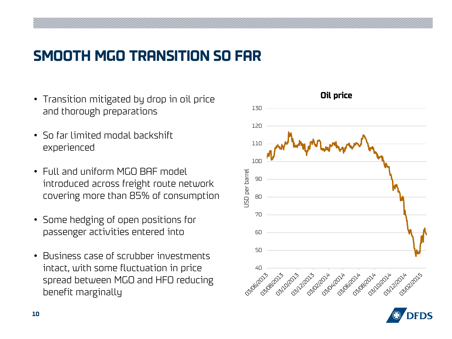# **SMOOTH MGO TRANSITION SO FAR**

- Transition mitigated by drop in oil price and thorough preparations
- So far limited modal backshift experienced
- Full and uniform MGO BAF model introduced across freight route network covering more than 85% of consumption
- Some hedging of open positions for passenger activities entered into
- Business case of scrubber investments intact, with some fluctuation in price spread between MGO and HFO reducing benefit marginally



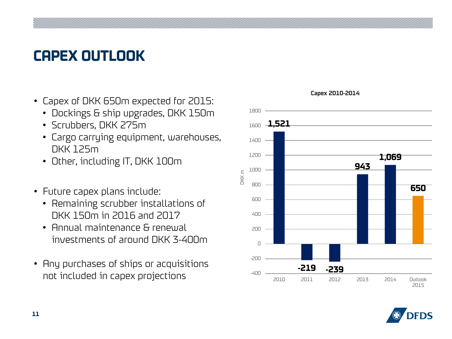# **CAPEX OUTLOOK**

- Capex of DKK 650m expected for 2015:
	- Dockings & ship upgrades, DKK 150m
	- Scrubbers, DKK 275m
	- Cargo carrying equipment, warehouses, DKK 125m
	- Other, including IT, DKK 100m
- Future capex plans include:
	- Remaining scrubber installations of DKK 150m in 2016 and 2017
	- Annual maintenance & renewal investments of around DKK 3-400m
- Any purchases of ships or acquisitions not included in capex projections





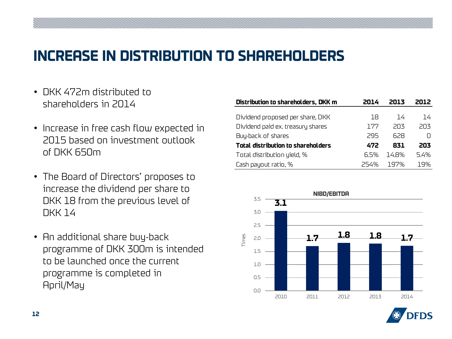### **INCREASE IN DISTRIBUTION TO SHAREHOLDERS**

- DKK 472m distributed to shareholders in 2014
- Increase in free cash flow expected in 2015 based on investment outlook of DKK 650m
- The Board of Directors' proposes to increase the dividend per share to DKK 18 from the previous level of DKK 14
- An additional share buy-back programme of DKK 300m is intended to be launched once the current programme is completed in April/May

| Distribution to shareholders, DKK m | 2N 14 |       | 2012. |
|-------------------------------------|-------|-------|-------|
|                                     |       |       |       |
| Dividend proposed per share, DKK    | 18    | 14    | 14    |
| Dividend paid ex. treasury shares   | 177   | 203   | 203   |
| Buy-back of shares                  | 295   | 628   |       |
| Total distribution to shareholders  | 472   | 831   | 203   |
| Total distribution yield, %         | 6.5%  | 14 R% | 5.4%  |
| Cash payout ratio, %                | 254%  | 197%  | 19%   |



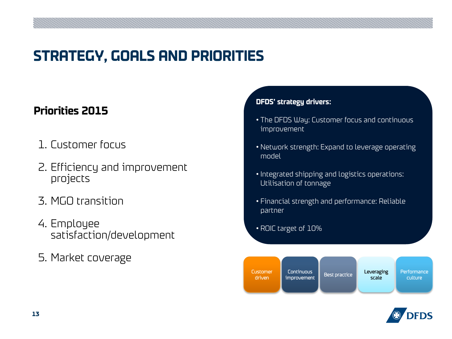# **STRATEGY, GOALS AND PRIORITIES**

#### **Priorities 2015**

- 1. Customer focus
- 2. Efficiency and improvement projects
- 3. MGO transition
- 4. Employee satisfaction/development
- 5. Market coverage

#### **DFDS' strategy drivers:**

- The DFDS Way: Customer focus and continuous improvement
- Network strength: Expand to leverage operating model
- Integrated shipping and logistics operations: Utilisation of tonnage
- Financial strength and performance: Reliable partner
- ROIC target of 10%